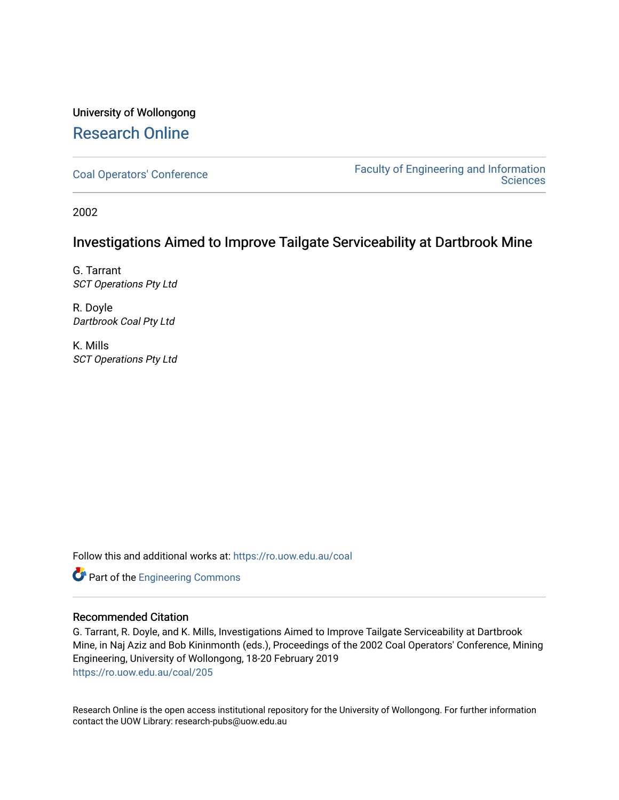# University of Wollongong [Research Online](https://ro.uow.edu.au/)

[Coal Operators' Conference](https://ro.uow.edu.au/coal) [Faculty of Engineering and Information](https://ro.uow.edu.au/eis)  **Sciences** 

2002

# Investigations Aimed to Improve Tailgate Serviceability at Dartbrook Mine

G. Tarrant SCT Operations Pty Ltd

R. Doyle Dartbrook Coal Pty Ltd

K. Mills SCT Operations Pty Ltd

Follow this and additional works at: [https://ro.uow.edu.au/coal](https://ro.uow.edu.au/coal?utm_source=ro.uow.edu.au%2Fcoal%2F205&utm_medium=PDF&utm_campaign=PDFCoverPages) 

Part of the [Engineering Commons](http://network.bepress.com/hgg/discipline/217?utm_source=ro.uow.edu.au%2Fcoal%2F205&utm_medium=PDF&utm_campaign=PDFCoverPages)

# Recommended Citation

G. Tarrant, R. Doyle, and K. Mills, Investigations Aimed to Improve Tailgate Serviceability at Dartbrook Mine, in Naj Aziz and Bob Kininmonth (eds.), Proceedings of the 2002 Coal Operators' Conference, Mining Engineering, University of Wollongong, 18-20 February 2019 [https://ro.uow.edu.au/coal/205](https://ro.uow.edu.au/coal/205?utm_source=ro.uow.edu.au%2Fcoal%2F205&utm_medium=PDF&utm_campaign=PDFCoverPages) 

Research Online is the open access institutional repository for the University of Wollongong. For further information contact the UOW Library: research-pubs@uow.edu.au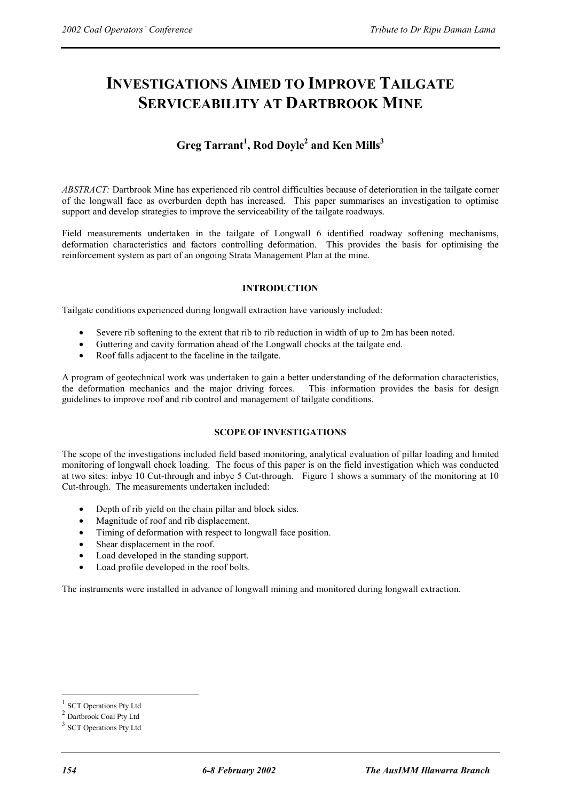# **INVESTIGATIONS AIMED TO IMPROVE TAILGATE SERVICEABILITY AT DARTBROOK MINE**

# **Greg Tarrant<sup>1</sup> , Rod Doyle2 and Ken Mills<sup>3</sup>**

*ABSTRACT:* Dartbrook Mine has experienced rib control difficulties because of deterioration in the tailgate corner of the longwall face as overburden depth has increased. This paper summarises an investigation to optimise support and develop strategies to improve the serviceability of the tailgate roadways.

Field measurements undertaken in the tailgate of Longwall 6 identified roadway softening mechanisms, deformation characteristics and factors controlling deformation. This provides the basis for optimising the reinforcement system as part of an ongoing Strata Management Plan at the mine.

## **INTRODUCTION**

Tailgate conditions experienced during longwall extraction have variously included:

- Severe rib softening to the extent that rib to rib reduction in width of up to 2m has been noted.
- Guttering and cavity formation ahead of the Longwall chocks at the tailgate end.
- Roof falls adjacent to the faceline in the tailgate.

A program of geotechnical work was undertaken to gain a better understanding of the deformation characteristics, the deformation mechanics and the major driving forces. This information provides the basis for design guidelines to improve roof and rib control and management of tailgate conditions.

# **SCOPE OF INVESTIGATIONS**

The scope of the investigations included field based monitoring, analytical evaluation of pillar loading and limited monitoring of longwall chock loading. The focus of this paper is on the field investigation which was conducted at two sites: inbye 10 Cut-through and inbye 5 Cut-through. Figure 1 shows a summary of the monitoring at 10 Cut-through. The measurements undertaken included:

- Depth of rib yield on the chain pillar and block sides.
- Magnitude of roof and rib displacement.
- Timing of deformation with respect to longwall face position.
- Shear displacement in the roof.
- Load developed in the standing support.
- Load profile developed in the roof bolts.

The instruments were installed in advance of longwall mining and monitored during longwall extraction.

 $\overline{a}$ 

**SCT Operations Pty Ltd** 

<sup>2</sup> Dartbrook Coal Pty Ltd

<sup>&</sup>lt;sup>3</sup> SCT Operations Pty Ltd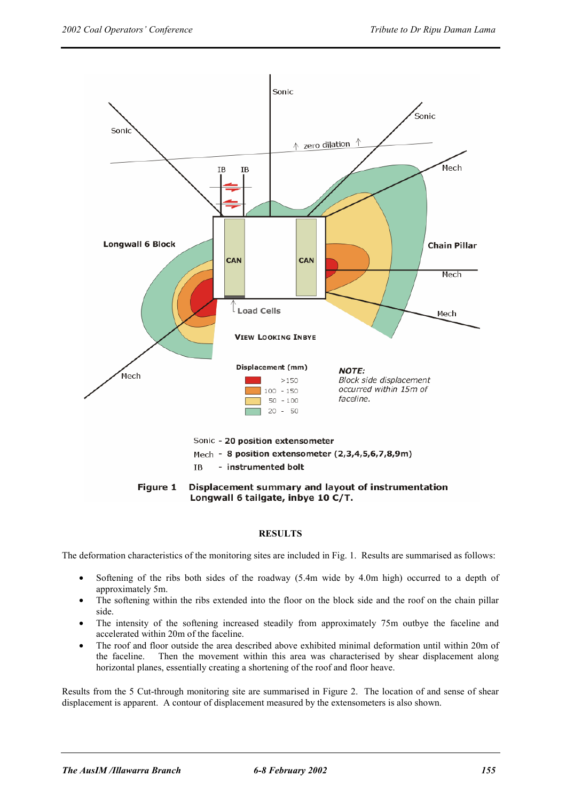

## **RESULTS**

The deformation characteristics of the monitoring sites are included in Fig. 1. Results are summarised as follows:

- Softening of the ribs both sides of the roadway (5.4m wide by 4.0m high) occurred to a depth of approximately 5m.
- The softening within the ribs extended into the floor on the block side and the roof on the chain pillar side.
- The intensity of the softening increased steadily from approximately 75m outbye the faceline and accelerated within 20m of the faceline.
- The roof and floor outside the area described above exhibited minimal deformation until within 20m of the faceline. Then the movement within this area was characterised by shear displacement along horizontal planes, essentially creating a shortening of the roof and floor heave.

Results from the 5 Cut-through monitoring site are summarised in Figure 2. The location of and sense of shear displacement is apparent. A contour of displacement measured by the extensometers is also shown.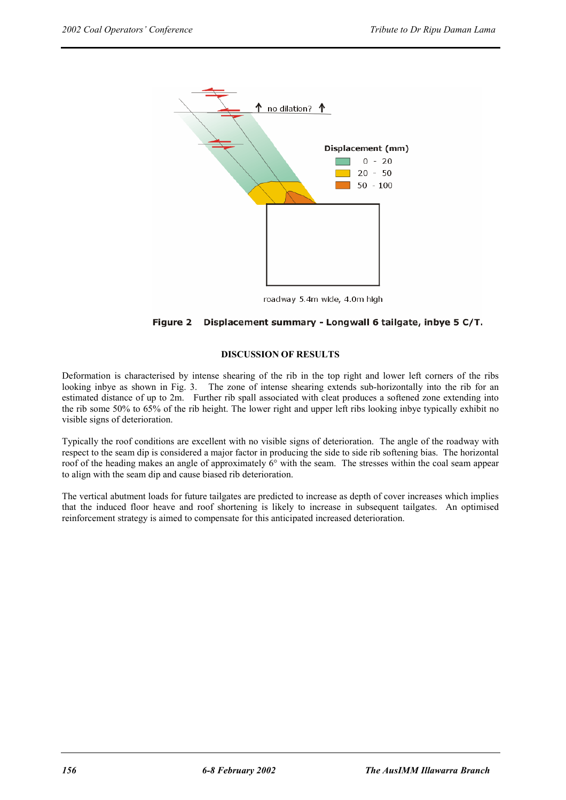

roadway 5.4m wide, 4.0m high

## Figure 2 Displacement summary - Longwall 6 tailgate, inbye 5 C/T.

#### **DISCUSSION OF RESULTS**

Deformation is characterised by intense shearing of the rib in the top right and lower left corners of the ribs looking inbye as shown in Fig. 3. The zone of intense shearing extends sub-horizontally into the rib for an estimated distance of up to 2m. Further rib spall associated with cleat produces a softened zone extending into the rib some 50% to 65% of the rib height. The lower right and upper left ribs looking inbye typically exhibit no visible signs of deterioration.

Typically the roof conditions are excellent with no visible signs of deterioration. The angle of the roadway with respect to the seam dip is considered a major factor in producing the side to side rib softening bias. The horizontal roof of the heading makes an angle of approximately 6° with the seam. The stresses within the coal seam appear to align with the seam dip and cause biased rib deterioration.

The vertical abutment loads for future tailgates are predicted to increase as depth of cover increases which implies that the induced floor heave and roof shortening is likely to increase in subsequent tailgates. An optimised reinforcement strategy is aimed to compensate for this anticipated increased deterioration.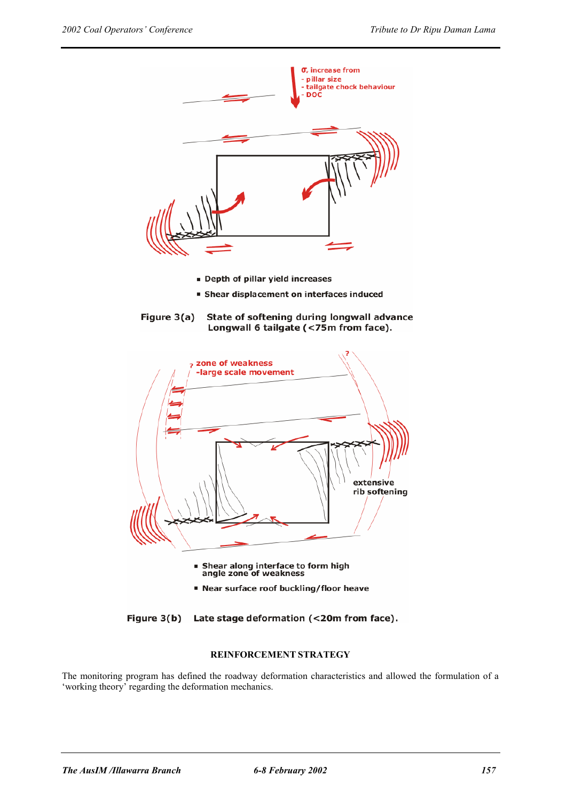

- Depth of pillar yield increases
- **Shear displacement on interfaces induced**





Figure 3(b) Late stage deformation (<20m from face).

## **REINFORCEMENT STRATEGY**

The monitoring program has defined the roadway deformation characteristics and allowed the formulation of a 'working theory' regarding the deformation mechanics.